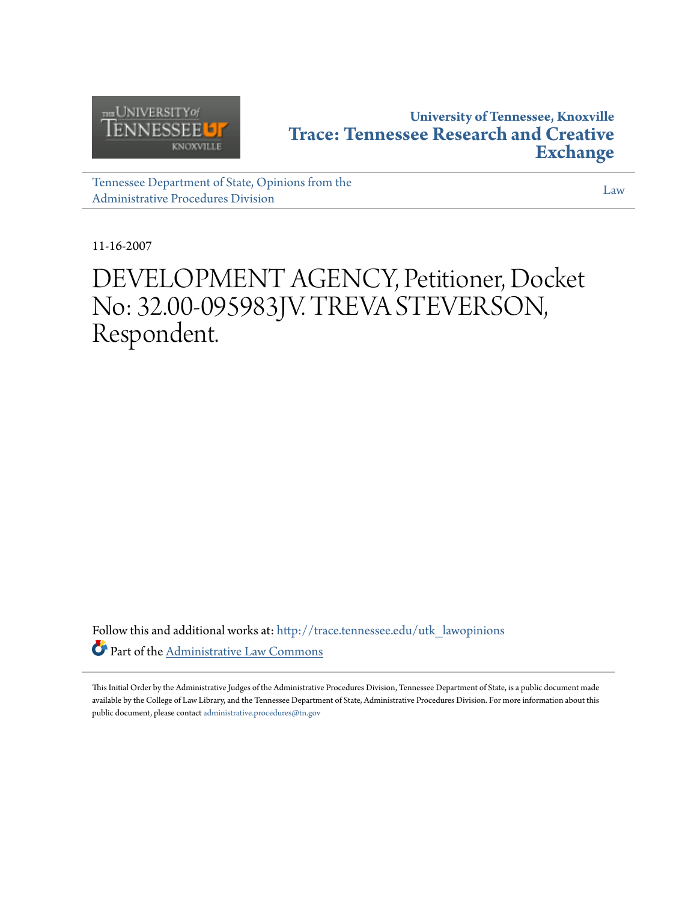

### **University of Tennessee, Knoxville [Trace: Tennessee Research and Creative](http://trace.tennessee.edu?utm_source=trace.tennessee.edu%2Futk_lawopinions%2F2853&utm_medium=PDF&utm_campaign=PDFCoverPages) [Exchange](http://trace.tennessee.edu?utm_source=trace.tennessee.edu%2Futk_lawopinions%2F2853&utm_medium=PDF&utm_campaign=PDFCoverPages)**

[Tennessee Department of State, Opinions from the](http://trace.tennessee.edu/utk_lawopinions?utm_source=trace.tennessee.edu%2Futk_lawopinions%2F2853&utm_medium=PDF&utm_campaign=PDFCoverPages) [Administrative Procedures Division](http://trace.tennessee.edu/utk_lawopinions?utm_source=trace.tennessee.edu%2Futk_lawopinions%2F2853&utm_medium=PDF&utm_campaign=PDFCoverPages)

[Law](http://trace.tennessee.edu/utk-law?utm_source=trace.tennessee.edu%2Futk_lawopinions%2F2853&utm_medium=PDF&utm_campaign=PDFCoverPages)

11-16-2007

# DEVELOPMENT AGENCY, Petitioner, Docket No: 32.00-095983JV. TREVA STEVERSON, Respondent.

Follow this and additional works at: [http://trace.tennessee.edu/utk\\_lawopinions](http://trace.tennessee.edu/utk_lawopinions?utm_source=trace.tennessee.edu%2Futk_lawopinions%2F2853&utm_medium=PDF&utm_campaign=PDFCoverPages) Part of the [Administrative Law Commons](http://network.bepress.com/hgg/discipline/579?utm_source=trace.tennessee.edu%2Futk_lawopinions%2F2853&utm_medium=PDF&utm_campaign=PDFCoverPages)

This Initial Order by the Administrative Judges of the Administrative Procedures Division, Tennessee Department of State, is a public document made available by the College of Law Library, and the Tennessee Department of State, Administrative Procedures Division. For more information about this public document, please contact [administrative.procedures@tn.gov](mailto:administrative.procedures@tn.gov)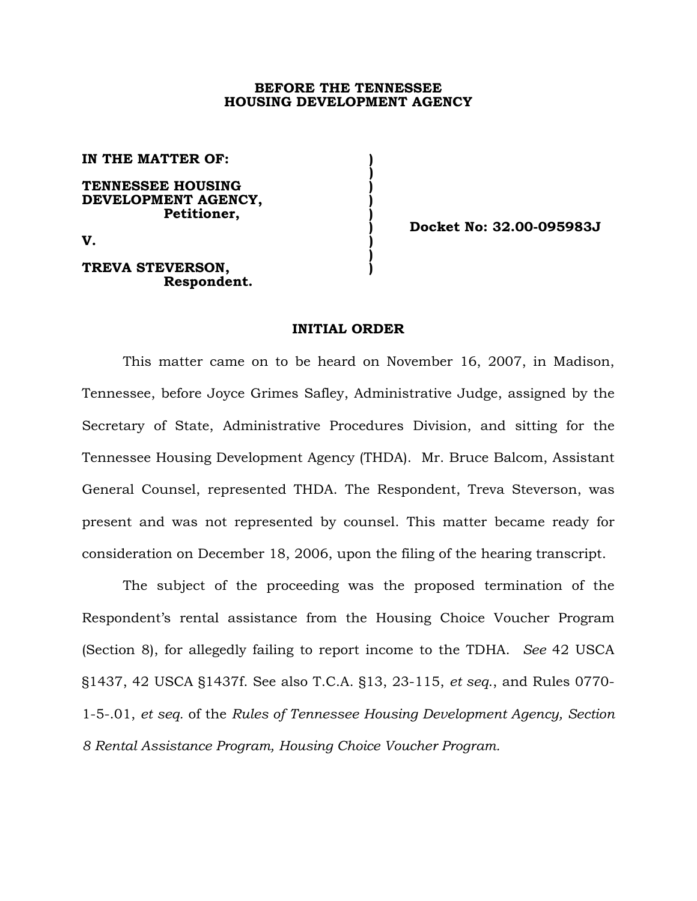#### **BEFORE THE TENNESSEE HOUSING DEVELOPMENT AGENCY**

**IN THE MATTER OF: )** 

**TENNESSEE HOUSING ) DEVELOPMENT AGENCY, ) Petitioner, )** 

 **)** 

 **)** 

**V. )** 

#### **TREVA STEVERSON, ) Respondent.**

 **) Docket No: 32.00-095983J** 

#### **INITIAL ORDER**

This matter came on to be heard on November 16, 2007, in Madison, Tennessee, before Joyce Grimes Safley, Administrative Judge, assigned by the Secretary of State, Administrative Procedures Division, and sitting for the Tennessee Housing Development Agency (THDA). Mr. Bruce Balcom, Assistant General Counsel, represented THDA. The Respondent, Treva Steverson, was present and was not represented by counsel. This matter became ready for consideration on December 18, 2006, upon the filing of the hearing transcript.

The subject of the proceeding was the proposed termination of the Respondent's rental assistance from the Housing Choice Voucher Program (Section 8), for allegedly failing to report income to the TDHA. *See* 42 USCA §1437, 42 USCA §1437f. See also T.C.A. §13, 23-115, *et seq*., and Rules 0770- 1-5-.01, *et seq.* of the *Rules of Tennessee Housing Development Agency, Section 8 Rental Assistance Program, Housing Choice Voucher Program.*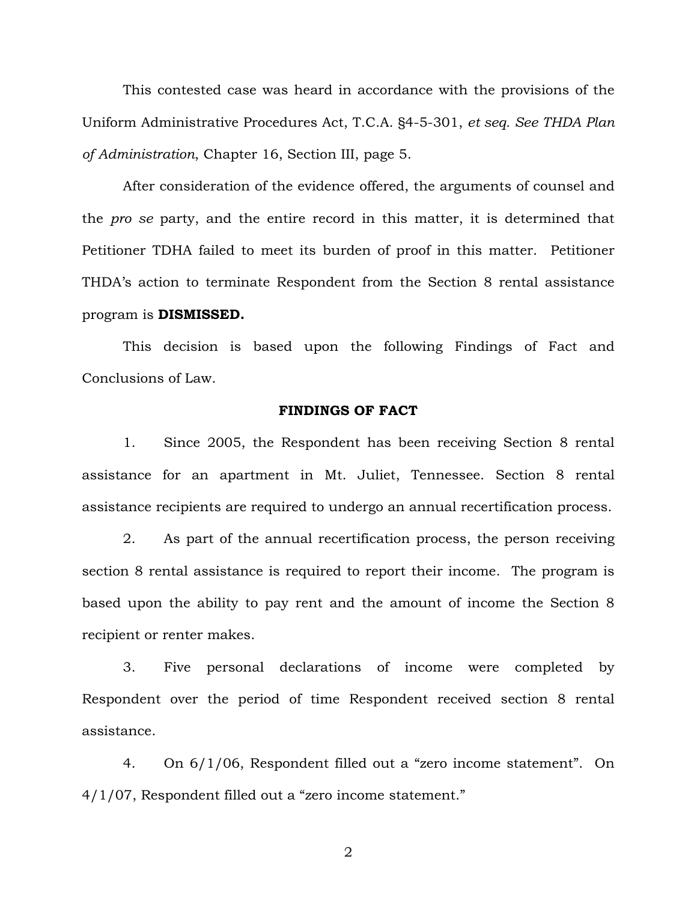This contested case was heard in accordance with the provisions of the Uniform Administrative Procedures Act, T.C.A. §4-5-301, *et seq. See THDA Plan of Administration*, Chapter 16, Section III, page 5.

 After consideration of the evidence offered, the arguments of counsel and the *pro se* party, and the entire record in this matter, it is determined that Petitioner TDHA failed to meet its burden of proof in this matter. Petitioner THDA's action to terminate Respondent from the Section 8 rental assistance program is **DISMISSED.**

 This decision is based upon the following Findings of Fact and Conclusions of Law.

#### **FINDINGS OF FACT**

1. Since 2005, the Respondent has been receiving Section 8 rental assistance for an apartment in Mt. Juliet, Tennessee. Section 8 rental assistance recipients are required to undergo an annual recertification process.

2. As part of the annual recertification process, the person receiving section 8 rental assistance is required to report their income. The program is based upon the ability to pay rent and the amount of income the Section 8 recipient or renter makes.

3. Five personal declarations of income were completed by Respondent over the period of time Respondent received section 8 rental assistance.

4. On 6/1/06, Respondent filled out a "zero income statement". On 4/1/07, Respondent filled out a "zero income statement."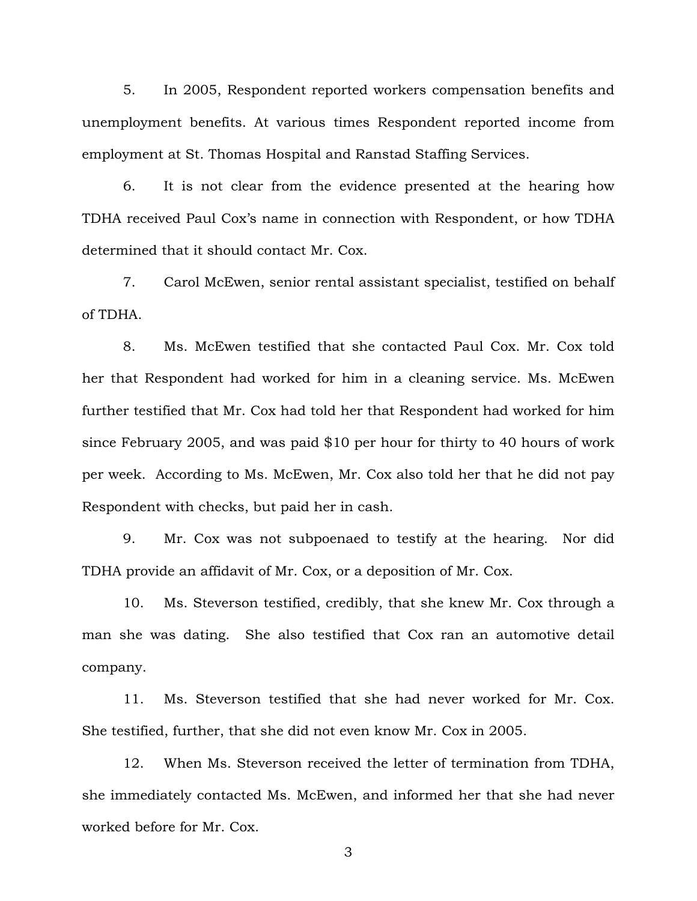5. In 2005, Respondent reported workers compensation benefits and unemployment benefits. At various times Respondent reported income from employment at St. Thomas Hospital and Ranstad Staffing Services.

6. It is not clear from the evidence presented at the hearing how TDHA received Paul Cox's name in connection with Respondent, or how TDHA determined that it should contact Mr. Cox.

7. Carol McEwen, senior rental assistant specialist, testified on behalf of TDHA.

8. Ms. McEwen testified that she contacted Paul Cox. Mr. Cox told her that Respondent had worked for him in a cleaning service. Ms. McEwen further testified that Mr. Cox had told her that Respondent had worked for him since February 2005, and was paid \$10 per hour for thirty to 40 hours of work per week. According to Ms. McEwen, Mr. Cox also told her that he did not pay Respondent with checks, but paid her in cash.

9. Mr. Cox was not subpoenaed to testify at the hearing. Nor did TDHA provide an affidavit of Mr. Cox, or a deposition of Mr. Cox.

10. Ms. Steverson testified, credibly, that she knew Mr. Cox through a man she was dating. She also testified that Cox ran an automotive detail company.

11. Ms. Steverson testified that she had never worked for Mr. Cox. She testified, further, that she did not even know Mr. Cox in 2005.

12. When Ms. Steverson received the letter of termination from TDHA, she immediately contacted Ms. McEwen, and informed her that she had never worked before for Mr. Cox.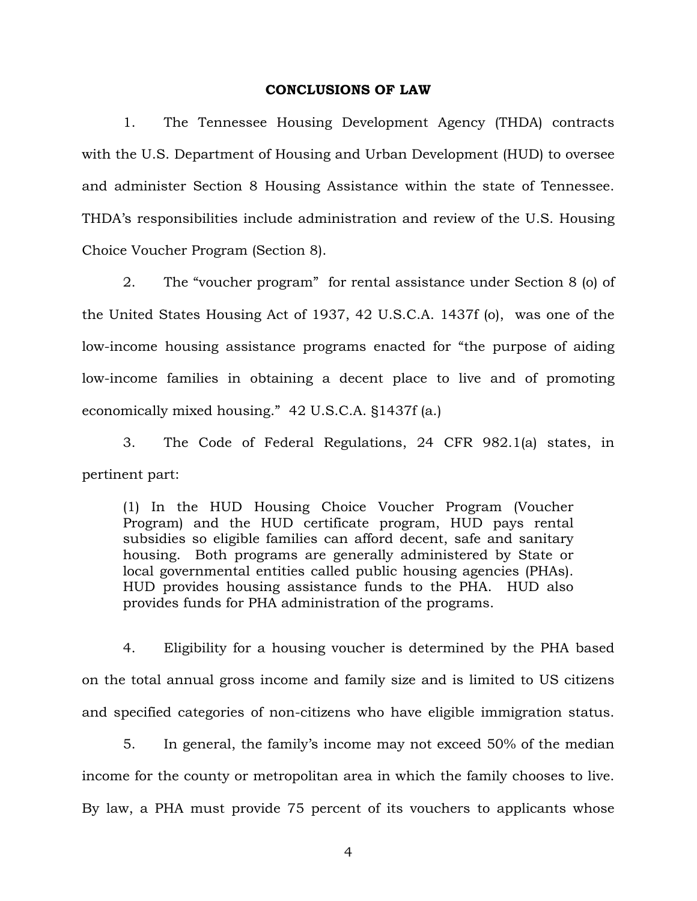#### **CONCLUSIONS OF LAW**

 1. The Tennessee Housing Development Agency (THDA) contracts with the U.S. Department of Housing and Urban Development (HUD) to oversee and administer Section 8 Housing Assistance within the state of Tennessee. THDA's responsibilities include administration and review of the U.S. Housing Choice Voucher Program (Section 8).

 2. The "voucher program" for rental assistance under Section 8 (o) of the United States Housing Act of 1937, 42 U.S.C.A. 1437f (o), was one of the low-income housing assistance programs enacted for "the purpose of aiding low-income families in obtaining a decent place to live and of promoting economically mixed housing." 42 U.S.C.A. §1437f (a.)

 3. The Code of Federal Regulations, 24 CFR 982.1(a) states, in pertinent part:

(1) In the HUD Housing Choice Voucher Program (Voucher Program) and the HUD certificate program, HUD pays rental subsidies so eligible families can afford decent, safe and sanitary housing. Both programs are generally administered by State or local governmental entities called public housing agencies (PHAs). HUD provides housing assistance funds to the PHA. HUD also provides funds for PHA administration of the programs.

4. Eligibility for a housing voucher is determined by the PHA based on the total annual gross income and family size and is limited to US citizens and specified categories of non-citizens who have eligible immigration status.

 5. In general, the family's income may not exceed 50% of the median income for the county or metropolitan area in which the family chooses to live. By law, a PHA must provide 75 percent of its vouchers to applicants whose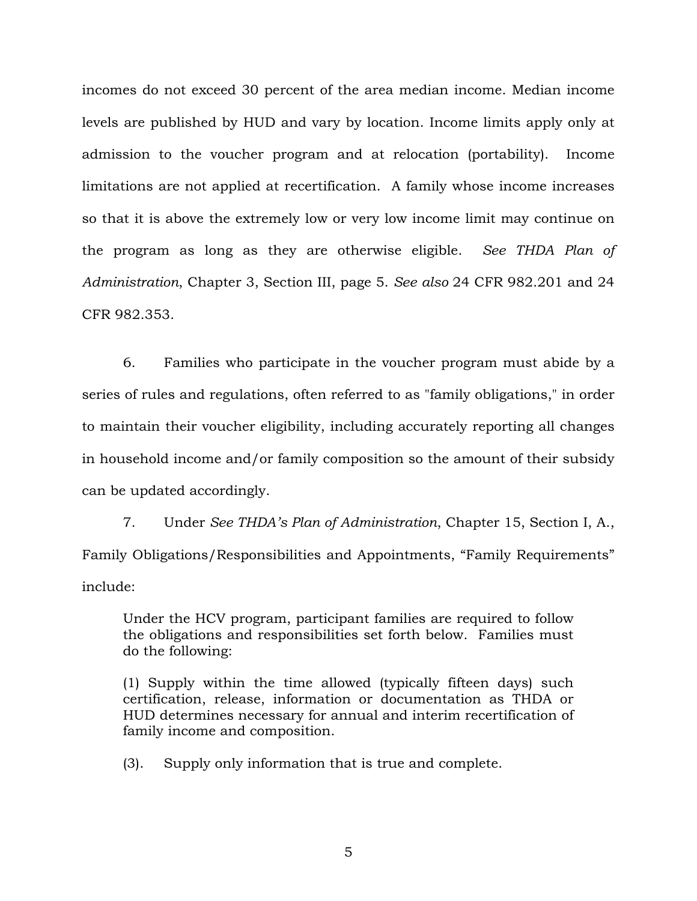incomes do not exceed 30 percent of the area median income. Median income levels are published by HUD and vary by location. Income limits apply only at admission to the voucher program and at relocation (portability). Income limitations are not applied at recertification. A family whose income increases so that it is above the extremely low or very low income limit may continue on the program as long as they are otherwise eligible. *See THDA Plan of Administration*, Chapter 3, Section III, page 5. *See also* 24 CFR 982.201 and 24 CFR 982.353.

6. Families who participate in the voucher program must abide by a series of rules and regulations, often referred to as "family obligations," in order to maintain their voucher eligibility, including accurately reporting all changes in household income and/or family composition so the amount of their subsidy can be updated accordingly.

 7. Under *See THDA's Plan of Administration*, Chapter 15, Section I, A., Family Obligations/Responsibilities and Appointments, "Family Requirements" include:

Under the HCV program, participant families are required to follow the obligations and responsibilities set forth below. Families must do the following:

(1) Supply within the time allowed (typically fifteen days) such certification, release, information or documentation as THDA or HUD determines necessary for annual and interim recertification of family income and composition.

(3). Supply only information that is true and complete.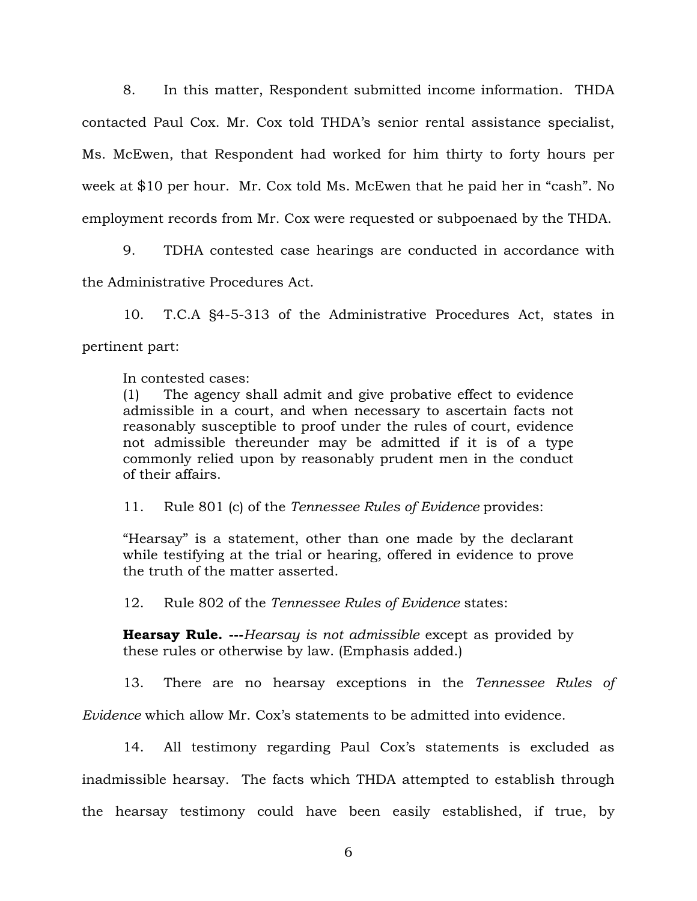8. In this matter, Respondent submitted income information. THDA contacted Paul Cox. Mr. Cox told THDA's senior rental assistance specialist, Ms. McEwen, that Respondent had worked for him thirty to forty hours per week at \$10 per hour. Mr. Cox told Ms. McEwen that he paid her in "cash". No employment records from Mr. Cox were requested or subpoenaed by the THDA.

9. TDHA contested case hearings are conducted in accordance with the Administrative Procedures Act.

10. T.C.A §4-5-313 of the Administrative Procedures Act, states in pertinent part:

In contested cases:

(1) The agency shall admit and give probative effect to evidence admissible in a court, and when necessary to ascertain facts not reasonably susceptible to proof under the rules of court, evidence not admissible thereunder may be admitted if it is of a type commonly relied upon by reasonably prudent men in the conduct of their affairs.

11. Rule 801 (c) of the *Tennessee Rules of Evidence* provides:

"Hearsay" is a statement, other than one made by the declarant while testifying at the trial or hearing, offered in evidence to prove the truth of the matter asserted.

12. Rule 802 of the *Tennessee Rules of Evidence* states:

**Hearsay Rule. ---***Hearsay is not admissible* except as provided by these rules or otherwise by law. (Emphasis added.)

 13. There are no hearsay exceptions in the *Tennessee Rules of Evidence* which allow Mr. Cox's statements to be admitted into evidence.

 14. All testimony regarding Paul Cox's statements is excluded as inadmissible hearsay. The facts which THDA attempted to establish through the hearsay testimony could have been easily established, if true, by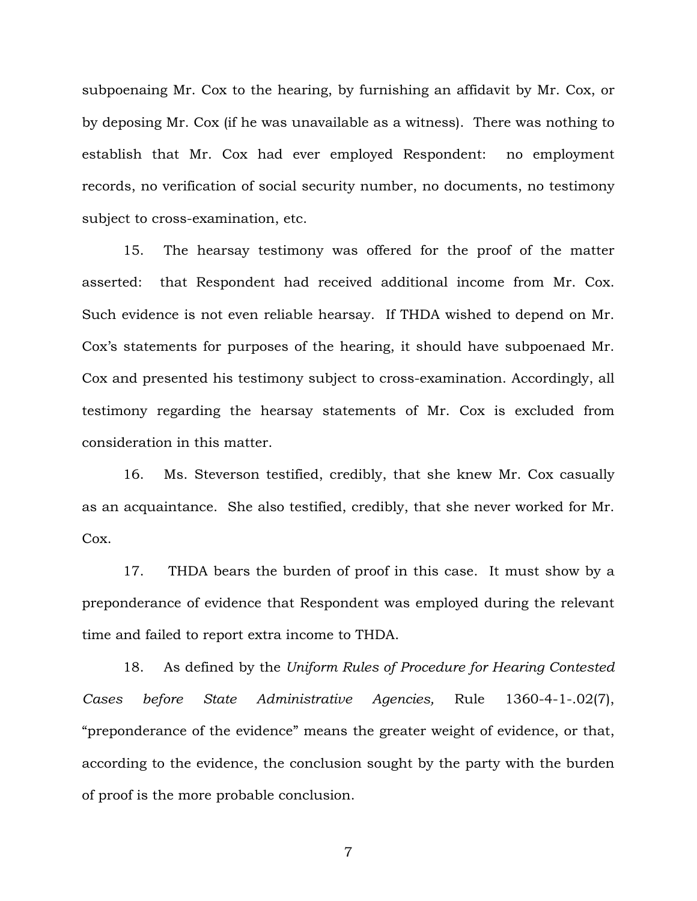subpoenaing Mr. Cox to the hearing, by furnishing an affidavit by Mr. Cox, or by deposing Mr. Cox (if he was unavailable as a witness). There was nothing to establish that Mr. Cox had ever employed Respondent: no employment records, no verification of social security number, no documents, no testimony subject to cross-examination, etc.

 15. The hearsay testimony was offered for the proof of the matter asserted: that Respondent had received additional income from Mr. Cox. Such evidence is not even reliable hearsay. If THDA wished to depend on Mr. Cox's statements for purposes of the hearing, it should have subpoenaed Mr. Cox and presented his testimony subject to cross-examination. Accordingly, all testimony regarding the hearsay statements of Mr. Cox is excluded from consideration in this matter.

 16. Ms. Steverson testified, credibly, that she knew Mr. Cox casually as an acquaintance. She also testified, credibly, that she never worked for Mr. Cox.

 17. THDA bears the burden of proof in this case. It must show by a preponderance of evidence that Respondent was employed during the relevant time and failed to report extra income to THDA.

 18. As defined by the *Uniform Rules of Procedure for Hearing Contested Cases before State Administrative Agencies,* Rule 1360-4-1-.02(7), "preponderance of the evidence" means the greater weight of evidence, or that, according to the evidence, the conclusion sought by the party with the burden of proof is the more probable conclusion.